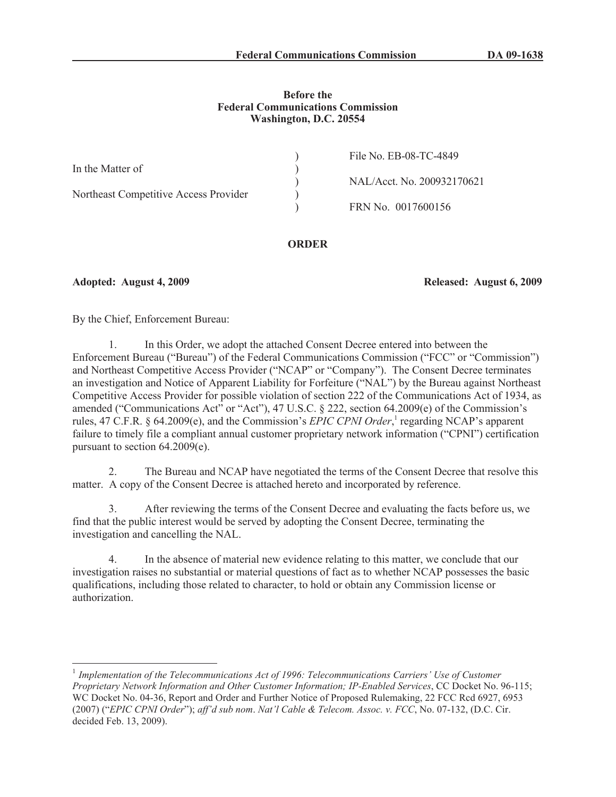### **Before the Federal Communications Commission Washington, D.C. 20554**

| NAL/Acct. No. 200932170621 |
|----------------------------|
|                            |
|                            |
|                            |

# **ORDER**

**Adopted: August 4, 2009 Released: August 6, 2009**

By the Chief, Enforcement Bureau:

1. In this Order, we adopt the attached Consent Decree entered into between the Enforcement Bureau ("Bureau") of the Federal Communications Commission ("FCC" or "Commission") and Northeast Competitive Access Provider ("NCAP" or "Company"). The Consent Decree terminates an investigation and Notice of Apparent Liability for Forfeiture ("NAL") by the Bureau against Northeast Competitive Access Provider for possible violation of section 222 of the Communications Act of 1934, as amended ("Communications Act" or "Act"), 47 U.S.C. § 222, section 64.2009(e) of the Commission's rules, 47 C.F.R. § 64.2009(e), and the Commission's *EPIC CPNI Order*,<sup>1</sup> regarding NCAP's apparent failure to timely file a compliant annual customer proprietary network information ("CPNI") certification pursuant to section 64.2009(e).

2. The Bureau and NCAP have negotiated the terms of the Consent Decree that resolve this matter. A copy of the Consent Decree is attached hereto and incorporated by reference.

3. After reviewing the terms of the Consent Decree and evaluating the facts before us, we find that the public interest would be served by adopting the Consent Decree, terminating the investigation and cancelling the NAL.

4. In the absence of material new evidence relating to this matter, we conclude that our investigation raises no substantial or material questions of fact as to whether NCAP possesses the basic qualifications, including those related to character, to hold or obtain any Commission license or authorization.

<sup>&</sup>lt;sup>1</sup> Implementation of the Telecommunications Act of 1996: Telecommunications Carriers' Use of Customer *Proprietary Network Information and Other Customer Information; IP-Enabled Services*, CC Docket No. 96-115; WC Docket No. 04-36, Report and Order and Further Notice of Proposed Rulemaking, 22 FCC Rcd 6927, 6953 (2007) ("*EPIC CPNI Order*"); *aff'd sub nom*. *Nat'l Cable & Telecom. Assoc. v. FCC*, No. 07-132, (D.C. Cir. decided Feb. 13, 2009).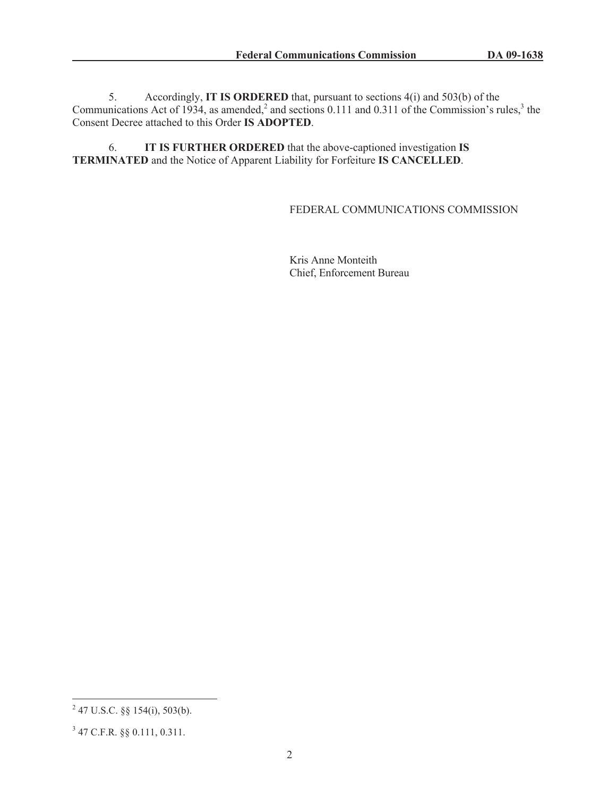5. Accordingly, **IT IS ORDERED** that, pursuant to sections 4(i) and 503(b) of the Communications Act of 1934, as amended,<sup>2</sup> and sections 0.111 and 0.311 of the Commission's rules,<sup>3</sup> the Consent Decree attached to this Order **IS ADOPTED**.

6. **IT IS FURTHER ORDERED** that the above-captioned investigation **IS TERMINATED** and the Notice of Apparent Liability for Forfeiture **IS CANCELLED**.

# FEDERAL COMMUNICATIONS COMMISSION

Kris Anne Monteith Chief, Enforcement Bureau

 $^{2}$  47 U.S.C. §§ 154(i), 503(b).

<sup>3</sup> 47 C.F.R. §§ 0.111, 0.311.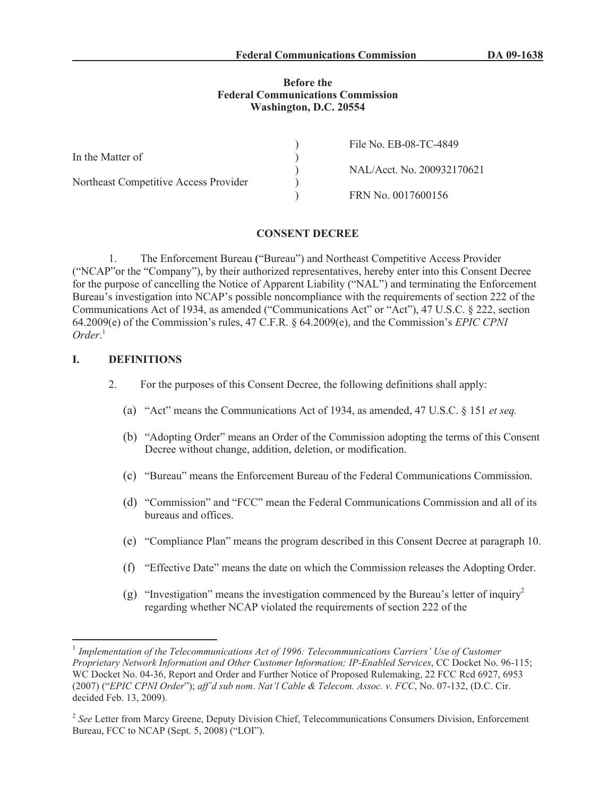#### **Before the Federal Communications Commission Washington, D.C. 20554**

|                                       | File No. EB-08-TC-4849     |
|---------------------------------------|----------------------------|
| In the Matter of                      |                            |
|                                       | NAL/Acct. No. 200932170621 |
| Northeast Competitive Access Provider |                            |
|                                       | FRN No. 0017600156         |

#### **CONSENT DECREE**

1. The Enforcement Bureau **(**"Bureau") and Northeast Competitive Access Provider ("NCAP"or the "Company"), by their authorized representatives, hereby enter into this Consent Decree for the purpose of cancelling the Notice of Apparent Liability ("NAL") and terminating the Enforcement Bureau's investigation into NCAP's possible noncompliance with the requirements of section 222 of the Communications Act of 1934, as amended ("Communications Act" or "Act"), 47 U.S.C. § 222, section 64.2009(e) of the Commission's rules, 47 C.F.R. § 64.2009(e), and the Commission's *EPIC CPNI Order*. 1

#### **I. DEFINITIONS**

- 2. For the purposes of this Consent Decree, the following definitions shall apply:
	- (a) "Act" means the Communications Act of 1934, as amended, 47 U.S.C. § 151 *et seq.*
	- (b) "Adopting Order" means an Order of the Commission adopting the terms of this Consent Decree without change, addition, deletion, or modification.
	- (c) "Bureau" means the Enforcement Bureau of the Federal Communications Commission.
	- (d) "Commission" and "FCC" mean the Federal Communications Commission and all of its bureaus and offices.
	- (e) "Compliance Plan" means the program described in this Consent Decree at paragraph 10.
	- (f) "Effective Date" means the date on which the Commission releases the Adopting Order.
	- (g) "Investigation" means the investigation commenced by the Bureau's letter of inquiry<sup>2</sup> regarding whether NCAP violated the requirements of section 222 of the

<sup>&</sup>lt;sup>1</sup> Implementation of the Telecommunications Act of 1996: Telecommunications Carriers' Use of Customer *Proprietary Network Information and Other Customer Information; IP-Enabled Services*, CC Docket No. 96-115; WC Docket No. 04-36, Report and Order and Further Notice of Proposed Rulemaking, 22 FCC Rcd 6927, 6953 (2007) ("*EPIC CPNI Order*"); *aff'd sub nom*. *Nat'l Cable & Telecom. Assoc. v. FCC*, No. 07-132, (D.C. Cir. decided Feb. 13, 2009).

<sup>&</sup>lt;sup>2</sup> See Letter from Marcy Greene, Deputy Division Chief, Telecommunications Consumers Division, Enforcement Bureau, FCC to NCAP (Sept. 5, 2008) ("LOI").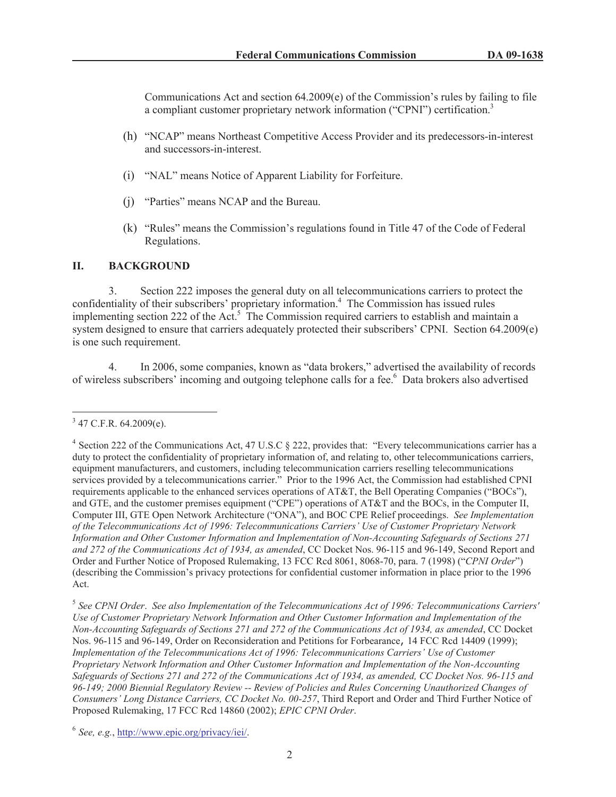Communications Act and section  $64.2009(e)$  of the Commission's rules by failing to file a compliant customer proprietary network information ("CPNI") certification.<sup>3</sup>

- (h) "NCAP" means Northeast Competitive Access Provider and its predecessors-in-interest and successors-in-interest.
- (i) "NAL" means Notice of Apparent Liability for Forfeiture.
- (j) "Parties" means NCAP and the Bureau.
- (k) "Rules" means the Commission's regulations found in Title 47 of the Code of Federal Regulations.

# **II. BACKGROUND**

3. Section 222 imposes the general duty on all telecommunications carriers to protect the confidentiality of their subscribers' proprietary information.<sup>4</sup> The Commission has issued rules implementing section 222 of the Act.<sup>5</sup> The Commission required carriers to establish and maintain a system designed to ensure that carriers adequately protected their subscribers' CPNI. Section 64.2009(e) is one such requirement.

4. In 2006, some companies, known as "data brokers," advertised the availability of records of wireless subscribers' incoming and outgoing telephone calls for a fee.<sup>6</sup> Data brokers also advertised

 $3$  47 C.F.R. 64.2009(e).

<sup>&</sup>lt;sup>4</sup> Section 222 of the Communications Act, 47 U.S.C § 222, provides that: "Every telecommunications carrier has a duty to protect the confidentiality of proprietary information of, and relating to, other telecommunications carriers, equipment manufacturers, and customers, including telecommunication carriers reselling telecommunications services provided by a telecommunications carrier." Prior to the 1996 Act, the Commission had established CPNI requirements applicable to the enhanced services operations of AT&T, the Bell Operating Companies ("BOCs"), and GTE, and the customer premises equipment ("CPE") operations of AT&T and the BOCs, in the Computer II, Computer III, GTE Open Network Architecture ("ONA"), and BOC CPE Relief proceedings. *See Implementation of the Telecommunications Act of 1996: Telecommunications Carriers' Use of Customer Proprietary Network Information and Other Customer Information and Implementation of Non-Accounting Safeguards of Sections 271 and 272 of the Communications Act of 1934, as amended*, CC Docket Nos. 96-115 and 96-149, Second Report and Order and Further Notice of Proposed Rulemaking, 13 FCC Rcd 8061, 8068-70, para. 7 (1998) ("*CPNI Order*") (describing the Commission's privacy protections for confidential customer information in place prior to the 1996 Act.

<sup>5</sup> *See CPNI Order*. *See also Implementation of the Telecommunications Act of 1996: Telecommunications Carriers' Use of Customer Proprietary Network Information and Other Customer Information and Implementation of the Non-Accounting Safeguards of Sections 271 and 272 of the Communications Act of 1934, as amended*, CC Docket Nos. 96-115 and 96-149, Order on Reconsideration and Petitions for Forbearance, 14 FCC Rcd 14409 (1999); *Implementation of the Telecommunications Act of 1996: Telecommunications Carriers' Use of Customer Proprietary Network Information and Other Customer Information and Implementation of the Non-Accounting Safeguards of Sections 271 and 272 of the Communications Act of 1934, as amended, CC Docket Nos. 96-115 and 96-149; 2000 Biennial Regulatory Review -- Review of Policies and Rules Concerning Unauthorized Changes of Consumers' Long Distance Carriers, CC Docket No. 00-257*, Third Report and Order and Third Further Notice of Proposed Rulemaking, 17 FCC Rcd 14860 (2002); *EPIC CPNI Order*.

<sup>6</sup> *See, e.g.*, http://www.epic.org/privacy/iei/.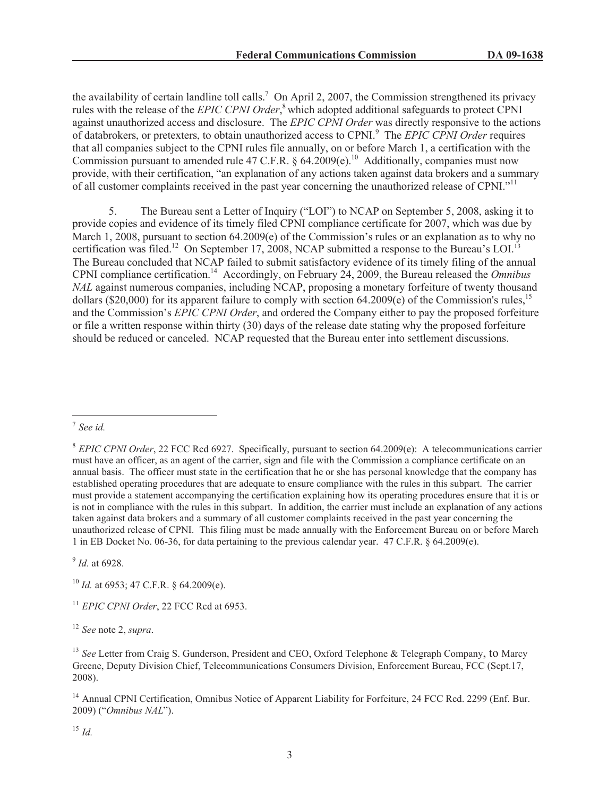the availability of certain landline toll calls.<sup>7</sup> On April 2, 2007, the Commission strengthened its privacy rules with the release of the *EPIC CPNI Order*, <sup>8</sup> which adopted additional safeguards to protect CPNI against unauthorized access and disclosure. The *EPIC CPNI Order* was directly responsive to the actions of databrokers, or pretexters, to obtain unauthorized access to CPNI.<sup>9</sup> The *EPIC CPNI Order* requires that all companies subject to the CPNI rules file annually, on or before March 1, a certification with the Commission pursuant to amended rule 47 C.F.R. §  $64.2009(e)$ .<sup>10</sup> Additionally, companies must now provide, with their certification, "an explanation of any actions taken against data brokers and a summary of all customer complaints received in the past year concerning the unauthorized release of CPNI."<sup>11</sup>

5. The Bureau sent a Letter of Inquiry ("LOI") to NCAP on September 5, 2008, asking it to provide copies and evidence of its timely filed CPNI compliance certificate for 2007, which was due by March 1, 2008, pursuant to section 64.2009(e) of the Commission's rules or an explanation as to why no certification was filed.<sup>12</sup> On September 17, 2008, NCAP submitted a response to the Bureau's LOI.<sup>13</sup> The Bureau concluded that NCAP failed to submit satisfactory evidence of its timely filing of the annual CPNI compliance certification.<sup>14</sup> Accordingly, on February 24, 2009, the Bureau released the *Omnibus NAL* against numerous companies, including NCAP, proposing a monetary forfeiture of twenty thousand dollars (\$20,000) for its apparent failure to comply with section  $64.2009(e)$  of the Commission's rules,<sup>15</sup> and the Commission's *EPIC CPNI Order*, and ordered the Company either to pay the proposed forfeiture or file a written response within thirty (30) days of the release date stating why the proposed forfeiture should be reduced or canceled. NCAP requested that the Bureau enter into settlement discussions.

9 *Id.* at 6928.

<sup>15</sup> *Id.*

<sup>7</sup> *See id.*

<sup>8</sup> *EPIC CPNI Order*, 22 FCC Rcd 6927. Specifically, pursuant to section 64.2009(e): A telecommunications carrier must have an officer, as an agent of the carrier, sign and file with the Commission a compliance certificate on an annual basis. The officer must state in the certification that he or she has personal knowledge that the company has established operating procedures that are adequate to ensure compliance with the rules in this subpart. The carrier must provide a statement accompanying the certification explaining how its operating procedures ensure that it is or is not in compliance with the rules in this subpart. In addition, the carrier must include an explanation of any actions taken against data brokers and a summary of all customer complaints received in the past year concerning the unauthorized release of CPNI. This filing must be made annually with the Enforcement Bureau on or before March 1 in EB Docket No. 06-36, for data pertaining to the previous calendar year. 47 C.F.R. § 64.2009(e).

<sup>10</sup> *Id.* at 6953; 47 C.F.R. § 64.2009(e).

<sup>11</sup> *EPIC CPNI Order*, 22 FCC Rcd at 6953.

<sup>12</sup> *See* note 2, *supra.*

<sup>&</sup>lt;sup>13</sup> See Letter from Craig S. Gunderson, President and CEO, Oxford Telephone & Telegraph Company, to Marcy Greene, Deputy Division Chief, Telecommunications Consumers Division, Enforcement Bureau, FCC (Sept.17, 2008).

<sup>&</sup>lt;sup>14</sup> Annual CPNI Certification, Omnibus Notice of Apparent Liability for Forfeiture, 24 FCC Rcd. 2299 (Enf. Bur. 2009) ("*Omnibus NAL*").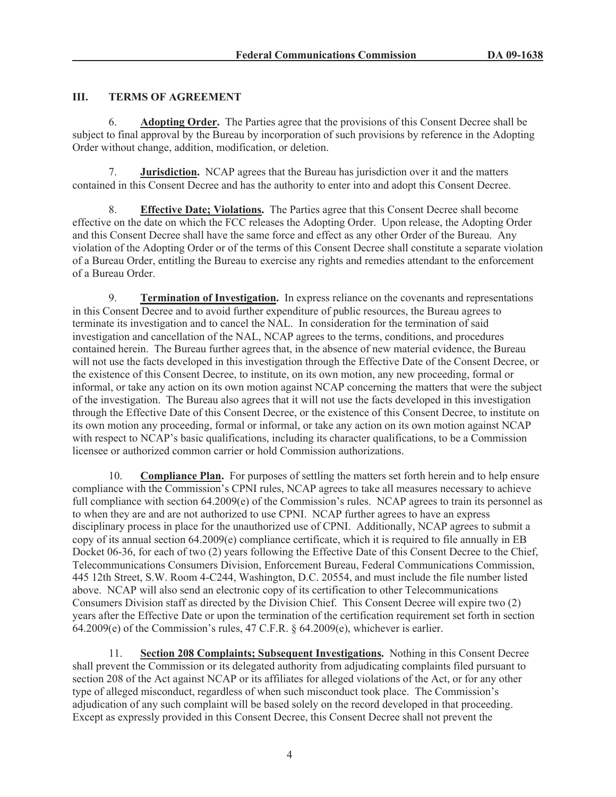# **III. TERMS OF AGREEMENT**

6. **Adopting Order.** The Parties agree that the provisions of this Consent Decree shall be subject to final approval by the Bureau by incorporation of such provisions by reference in the Adopting Order without change, addition, modification, or deletion.

7. **Jurisdiction.** NCAP agrees that the Bureau has jurisdiction over it and the matters contained in this Consent Decree and has the authority to enter into and adopt this Consent Decree.

8. **Effective Date; Violations.** The Parties agree that this Consent Decree shall become effective on the date on which the FCC releases the Adopting Order. Upon release, the Adopting Order and this Consent Decree shall have the same force and effect as any other Order of the Bureau. Any violation of the Adopting Order or of the terms of this Consent Decree shall constitute a separate violation of a Bureau Order, entitling the Bureau to exercise any rights and remedies attendant to the enforcement of a Bureau Order.

9. **Termination of Investigation.** In express reliance on the covenants and representations in this Consent Decree and to avoid further expenditure of public resources, the Bureau agrees to terminate its investigation and to cancel the NAL. In consideration for the termination of said investigation and cancellation of the NAL, NCAP agrees to the terms, conditions, and procedures contained herein. The Bureau further agrees that, in the absence of new material evidence, the Bureau will not use the facts developed in this investigation through the Effective Date of the Consent Decree, or the existence of this Consent Decree, to institute, on its own motion, any new proceeding, formal or informal, or take any action on its own motion against NCAP concerning the matters that were the subject of the investigation. The Bureau also agrees that it will not use the facts developed in this investigation through the Effective Date of this Consent Decree, or the existence of this Consent Decree, to institute on its own motion any proceeding, formal or informal, or take any action on its own motion against NCAP with respect to NCAP's basic qualifications, including its character qualifications, to be a Commission licensee or authorized common carrier or hold Commission authorizations.

10. **Compliance Plan.** For purposes of settling the matters set forth herein and to help ensure compliance with the Commission's CPNI rules, NCAP agrees to take all measures necessary to achieve full compliance with section 64.2009(e) of the Commission's rules. NCAP agrees to train its personnel as to when they are and are not authorized to use CPNI. NCAP further agrees to have an express disciplinary process in place for the unauthorized use of CPNI. Additionally, NCAP agrees to submit a copy of its annual section 64.2009(e) compliance certificate, which it is required to file annually in EB Docket 06-36, for each of two (2) years following the Effective Date of this Consent Decree to the Chief, Telecommunications Consumers Division, Enforcement Bureau, Federal Communications Commission, 445 12th Street, S.W. Room 4-C244, Washington, D.C. 20554, and must include the file number listed above. NCAP will also send an electronic copy of its certification to other Telecommunications Consumers Division staff as directed by the Division Chief. This Consent Decree will expire two (2) years after the Effective Date or upon the termination of the certification requirement set forth in section 64.2009(e) of the Commission's rules, 47 C.F.R. § 64.2009(e), whichever is earlier.

11. **Section 208 Complaints; Subsequent Investigations.** Nothing in this Consent Decree shall prevent the Commission or its delegated authority from adjudicating complaints filed pursuant to section 208 of the Act against NCAP or its affiliates for alleged violations of the Act, or for any other type of alleged misconduct, regardless of when such misconduct took place. The Commission's adjudication of any such complaint will be based solely on the record developed in that proceeding. Except as expressly provided in this Consent Decree, this Consent Decree shall not prevent the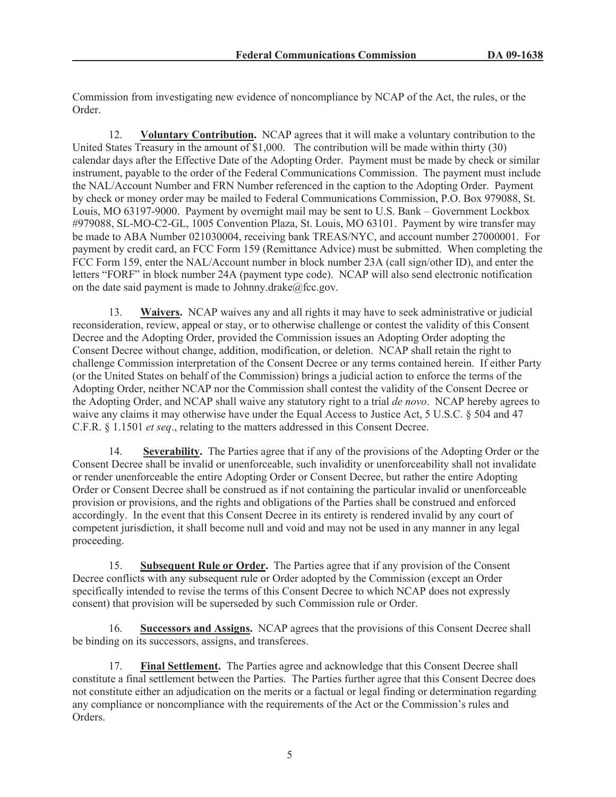Commission from investigating new evidence of noncompliance by NCAP of the Act, the rules, or the Order.

12. **Voluntary Contribution.** NCAP agrees that it will make a voluntary contribution to the United States Treasury in the amount of \$1,000. The contribution will be made within thirty (30) calendar days after the Effective Date of the Adopting Order. Payment must be made by check or similar instrument, payable to the order of the Federal Communications Commission. The payment must include the NAL/Account Number and FRN Number referenced in the caption to the Adopting Order. Payment by check or money order may be mailed to Federal Communications Commission, P.O. Box 979088, St. Louis, MO 63197-9000. Payment by overnight mail may be sent to U.S. Bank – Government Lockbox #979088, SL-MO-C2-GL, 1005 Convention Plaza, St. Louis, MO 63101. Payment by wire transfer may be made to ABA Number 021030004, receiving bank TREAS/NYC, and account number 27000001. For payment by credit card, an FCC Form 159 (Remittance Advice) must be submitted. When completing the FCC Form 159, enter the NAL/Account number in block number 23A (call sign/other ID), and enter the letters "FORF" in block number 24A (payment type code). NCAP will also send electronic notification on the date said payment is made to Johnny.drake@fcc.gov.

13. **Waivers.** NCAP waives any and all rights it may have to seek administrative or judicial reconsideration, review, appeal or stay, or to otherwise challenge or contest the validity of this Consent Decree and the Adopting Order, provided the Commission issues an Adopting Order adopting the Consent Decree without change, addition, modification, or deletion. NCAP shall retain the right to challenge Commission interpretation of the Consent Decree or any terms contained herein. If either Party (or the United States on behalf of the Commission) brings a judicial action to enforce the terms of the Adopting Order, neither NCAP nor the Commission shall contest the validity of the Consent Decree or the Adopting Order, and NCAP shall waive any statutory right to a trial *de novo*. NCAP hereby agrees to waive any claims it may otherwise have under the Equal Access to Justice Act, 5 U.S.C. § 504 and 47 C.F.R. § 1.1501 *et seq*., relating to the matters addressed in this Consent Decree.

14. **Severability.** The Parties agree that if any of the provisions of the Adopting Order or the Consent Decree shall be invalid or unenforceable, such invalidity or unenforceability shall not invalidate or render unenforceable the entire Adopting Order or Consent Decree, but rather the entire Adopting Order or Consent Decree shall be construed as if not containing the particular invalid or unenforceable provision or provisions, and the rights and obligations of the Parties shall be construed and enforced accordingly. In the event that this Consent Decree in its entirety is rendered invalid by any court of competent jurisdiction, it shall become null and void and may not be used in any manner in any legal proceeding.

15. **Subsequent Rule or Order.** The Parties agree that if any provision of the Consent Decree conflicts with any subsequent rule or Order adopted by the Commission (except an Order specifically intended to revise the terms of this Consent Decree to which NCAP does not expressly consent) that provision will be superseded by such Commission rule or Order.

16. **Successors and Assigns.** NCAP agrees that the provisions of this Consent Decree shall be binding on its successors, assigns, and transferees.

17. **Final Settlement.** The Parties agree and acknowledge that this Consent Decree shall constitute a final settlement between the Parties. The Parties further agree that this Consent Decree does not constitute either an adjudication on the merits or a factual or legal finding or determination regarding any compliance or noncompliance with the requirements of the Act or the Commission's rules and Orders.